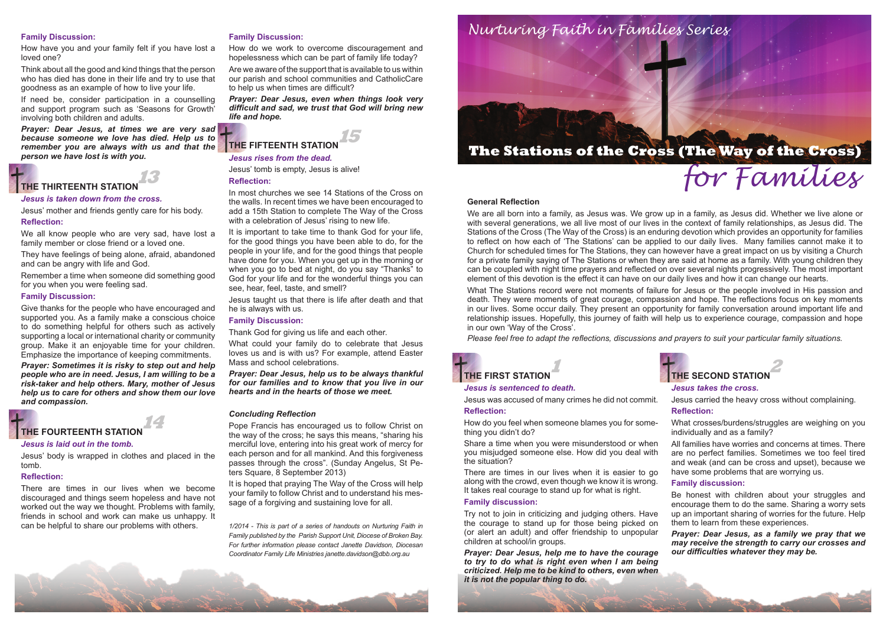#### **General Reflection**

We are all born into a family, as Jesus was. We grow up in a family, as Jesus did. Whether we live alone or with several generations, we all live most of our lives in the context of family relationships, as Jesus did. The Stations of the Cross (The Way of the Cross) is an enduring devotion which provides an opportunity for families to reflect on how each of 'The Stations' can be applied to our daily lives. Many families cannot make it to Church for scheduled times for The Stations, they can however have a great impact on us by visiting a Church for a private family saying of The Stations or when they are said at home as a family. With young children they can be coupled with night time prayers and reflected on over several nights progressively. The most important element of this devotion is the effect it can have on our daily lives and how it can change our hearts.



What The Stations record were not moments of failure for Jesus or the people involved in His passion and death. They were moments of great courage, compassion and hope. The reflections focus on key moments in our lives. Some occur daily. They present an opportunity for family conversation around important life and relationship issues. Hopefully, this journey of faith will help us to experience courage, compassion and hope in our own 'Way of the Cross'.

*Please feel free to adapt the reflections, discussions and prayers to suit your particular family situations.*

### *Jesus is sentenced to death.*

Jesus was accused of many crimes he did not commit.



### **Reflection:**

How do you feel when someone blames you for something you didn't do?

Share a time when you were misunderstood or when you misjudged someone else. How did you deal with the situation?

There are times in our lives when it is easier to go along with the crowd, even though we know it is wrong. It takes real courage to stand up for what is right.

### **Family discussion:**

Try not to join in criticizing and judging others. Have the courage to stand up for those being picked on (or alert an adult) and offer friendship to unpopular children at school/in groups.

*Prayer: Dear Jesus, help me to have the courage to try to do what is right even when I am being criticized. Help me to be kind to others, even when it is not the popular thing to do.*



### *Jesus takes the cross.*

- Jesus carried the heavy cross without complaining. **Reflection:**
- What crosses/burdens/struggles are weighing on you individually and as a family?
- All families have worries and concerns at times. There are no perfect families. Sometimes we too feel tired and weak (and can be cross and upset), because we have some problems that are worrying us.

### **THE SECOND STATION 2**

### **Family discussion:**

- Be honest with children about your struggles and encourage them to do the same. Sharing a worry sets up an important sharing of worries for the future. Help them to learn from these experiences.
- *Prayer: Dear Jesus, as a family we pray that we may receive the strength to carry our crosses and our difficulties whatever they may be.*

### **Family Discussion:**

How have you and your family felt if you have lost a loved one?

Think about all the good and kind things that the person who has died has done in their life and try to use that goodness as an example of how to live your life.

If need be, consider participation in a counselling and support program such as 'Seasons for Growth' involving both children and adults.

*Prayer: Dear Jesus, at times we are very sad because someone we love has died. Help us to remember you are always with us and that the person we have lost is with you.*

#### *Jesus is taken down from the cross.*

Jesus' mother and friends gently care for his body.

#### **Reflection:**

We all know people who are very sad, have lost a family member or close friend or a loved one.

They have feelings of being alone, afraid, abandoned and can be angry with life and God.

Remember a time when someone did something good for you when you were feeling sad.

#### **Family Discussion:**

Give thanks for the people who have encouraged and supported you. As a family make a conscious choice to do something helpful for others such as actively supporting a local or international charity or community group. Make it an enjoyable time for your children. Emphasize the importance of keeping commitments.

*Prayer: Sometimes it is risky to step out and help people who are in need. Jesus, I am willing to be a risk-taker and help others. Mary, mother of Jesus help us to care for others and show them our love and compassion.*

### *Jesus is laid out in the tomb.*

Jesus' body is wrapped in clothes and placed in the tomb.

### **Reflection:**

There are times in our lives when we become discouraged and things seem hopeless and have not worked out the way we thought. Problems with family, friends in school and work can make us unhappy. It can be helpful to share our problems with others.

### **Family Discussion:**

How do we work to overcome discouragement and hopelessness which can be part of family life today?

Are we aware of the support that is available to us within our parish and school communities and CatholicCare to help us when times are difficult?

*Prayer: Dear Jesus, even when things look very difficult and sad, we trust that God will bring new life and hope.* 

# **THE FIFTEENTH STATION**

*Jesus rises from the dead.*

### **THE THIRTEENTH STATION 13**

Jesus' tomb is empty, Jesus is alive!

### **Reflection:**

In most churches we see 14 Stations of the Cross on the walls. In recent times we have been encouraged to add a 15th Station to complete The Way of the Cross with a celebration of Jesus' rising to new life.

It is important to take time to thank God for your life, for the good things you have been able to do, for the people in your life, and for the good things that people have done for you. When you get up in the morning or when you go to bed at night, do you say "Thanks" to God for your life and for the wonderful things you can see, hear, feel, taste, and smell?



Jesus taught us that there is life after death and that he is always with us.

### **Family Discussion:**

Thank God for giving us life and each other.

What could your family do to celebrate that Jesus loves us and is with us? For example, attend Easter Mass and school celebrations.

*Prayer: Dear Jesus, help us to be always thankful for our families and to know that you live in our hearts and in the hearts of those we meet.*

### *Concluding Reflection*

Pope Francis has encouraged us to follow Christ on the way of the cross; he says this means, "sharing his merciful love, entering into his great work of mercy for each person and for all mankind. And this forgiveness passes through the cross". (Sunday Angelus, St Peters Square, 8 September 2013)

It is hoped that praying The Way of the Cross will help your family to follow Christ and to understand his message of a forgiving and sustaining love for all.

*1/2014 - This is part of a series of handouts on Nurturing Faith in Family published by the Parish Support Unit, Diocese of Broken Bay. For further information please contact Janette Davidson, Diocesan Coordinator Family Life Ministries janette.davidson@dbb.org.au*



**15**